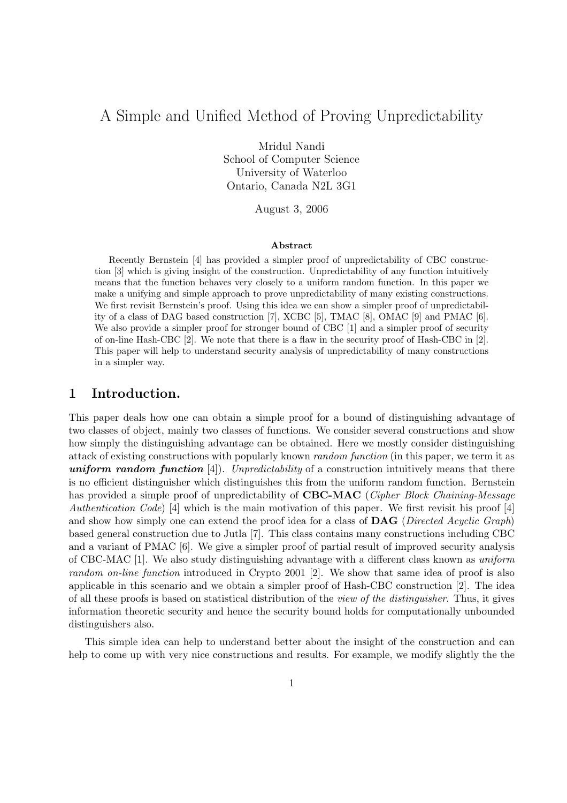# A Simple and Unified Method of Proving Unpredictability

Mridul Nandi School of Computer Science University of Waterloo Ontario, Canada N2L 3G1

August 3, 2006

#### Abstract

Recently Bernstein [4] has provided a simpler proof of unpredictability of CBC construction [3] which is giving insight of the construction. Unpredictability of any function intuitively means that the function behaves very closely to a uniform random function. In this paper we make a unifying and simple approach to prove unpredictability of many existing constructions. We first revisit Bernstein's proof. Using this idea we can show a simpler proof of unpredictability of a class of DAG based construction [7], XCBC [5], TMAC [8], OMAC [9] and PMAC [6]. We also provide a simpler proof for stronger bound of CBC [1] and a simpler proof of security of on-line Hash-CBC [2]. We note that there is a flaw in the security proof of Hash-CBC in [2]. This paper will help to understand security analysis of unpredictability of many constructions in a simpler way.

## 1 Introduction.

This paper deals how one can obtain a simple proof for a bound of distinguishing advantage of two classes of object, mainly two classes of functions. We consider several constructions and show how simply the distinguishing advantage can be obtained. Here we mostly consider distinguishing attack of existing constructions with popularly known random function (in this paper, we term it as uniform random function  $[4]$ . Unpredictability of a construction intuitively means that there is no efficient distinguisher which distinguishes this from the uniform random function. Bernstein has provided a simple proof of unpredictability of **CBC-MAC** (Cipher Block Chaining-Message Authentication Code) [4] which is the main motivation of this paper. We first revisit his proof [4] and show how simply one can extend the proof idea for a class of **DAG** (Directed Acyclic Graph) based general construction due to Jutla [7]. This class contains many constructions including CBC and a variant of PMAC [6]. We give a simpler proof of partial result of improved security analysis of CBC-MAC [1]. We also study distinguishing advantage with a different class known as uniform random on-line function introduced in Crypto 2001 [2]. We show that same idea of proof is also applicable in this scenario and we obtain a simpler proof of Hash-CBC construction [2]. The idea of all these proofs is based on statistical distribution of the view of the distinguisher. Thus, it gives information theoretic security and hence the security bound holds for computationally unbounded distinguishers also.

This simple idea can help to understand better about the insight of the construction and can help to come up with very nice constructions and results. For example, we modify slightly the the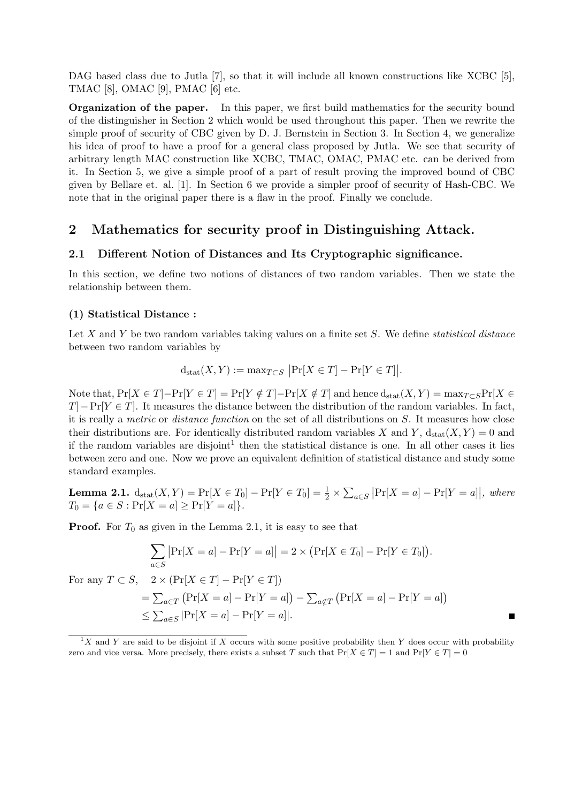DAG based class due to Jutla [7], so that it will include all known constructions like XCBC [5], TMAC [8], OMAC [9], PMAC [6] etc.

Organization of the paper. In this paper, we first build mathematics for the security bound of the distinguisher in Section 2 which would be used throughout this paper. Then we rewrite the simple proof of security of CBC given by D. J. Bernstein in Section 3. In Section 4, we generalize his idea of proof to have a proof for a general class proposed by Jutla. We see that security of arbitrary length MAC construction like XCBC, TMAC, OMAC, PMAC etc. can be derived from it. In Section 5, we give a simple proof of a part of result proving the improved bound of CBC given by Bellare et. al. [1]. In Section 6 we provide a simpler proof of security of Hash-CBC. We note that in the original paper there is a flaw in the proof. Finally we conclude.

## 2 Mathematics for security proof in Distinguishing Attack.

#### 2.1 Different Notion of Distances and Its Cryptographic significance.

In this section, we define two notions of distances of two random variables. Then we state the relationship between them.

#### (1) Statistical Distance :

Let X and Y be two random variables taking values on a finite set S. We define *statistical distance* between two random variables by

$$
d_{\text{stat}}(X, Y) := \max_{T \subset S} |Pr[X \in T] - Pr[Y \in T]|.
$$

Note that,  $Pr[X \in T] - Pr[Y \notin T] - Pr[X \notin T]$  and hence  $d_{stat}(X, Y) = max_{T \subseteq S} Pr[X \in T]$  $T$ ]−Pr[Y ∈ T]. It measures the distance between the distribution of the random variables. In fact, it is really a metric or distance function on the set of all distributions on S. It measures how close their distributions are. For identically distributed random variables X and Y,  $d_{stat}(X, Y) = 0$  and if the random variables are disjoint<sup>1</sup> then the statistical distance is one. In all other cases it lies between zero and one. Now we prove an equivalent definition of statistical distance and study some standard examples.

**Lemma 2.1.**  $d_{stat}(X, Y) = Pr[X \in T_0] - Pr[Y \in T_0] = \frac{1}{2} \times$  $\overline{ }$ a∈S  $\Pr[X = a] - \Pr[Y = a]$ , where  $T_0 = \{a \in S : \Pr[X = a] \ge \Pr[Y = a]\}.$ 

**Proof.** For  $T_0$  as given in the Lemma 2.1, it is easy to see that

$$
\sum_{a \in S} |\Pr[X = a] - \Pr[Y = a]| = 2 \times (\Pr[X \in T_0] - \Pr[Y \in T_0]).
$$

For any  $T \subset S$ ,  $2 \times (\Pr[X \in T] - \Pr[Y \in T])$ 

$$
= \sum_{a \in T} (\Pr[X = a] - \Pr[Y = a]) - \sum_{a \notin T} (\Pr[X = a] - \Pr[Y = a])
$$
  
\$\leq \sum\_{a \in S} |\Pr[X = a] - \Pr[Y = a]|.

 ${}^{1}X$  and Y are said to be disjoint if X occurs with some positive probability then Y does occur with probability zero and vice versa. More precisely, there exists a subset T such that  $Pr[X \in T] = 1$  and  $Pr[Y \in T] = 0$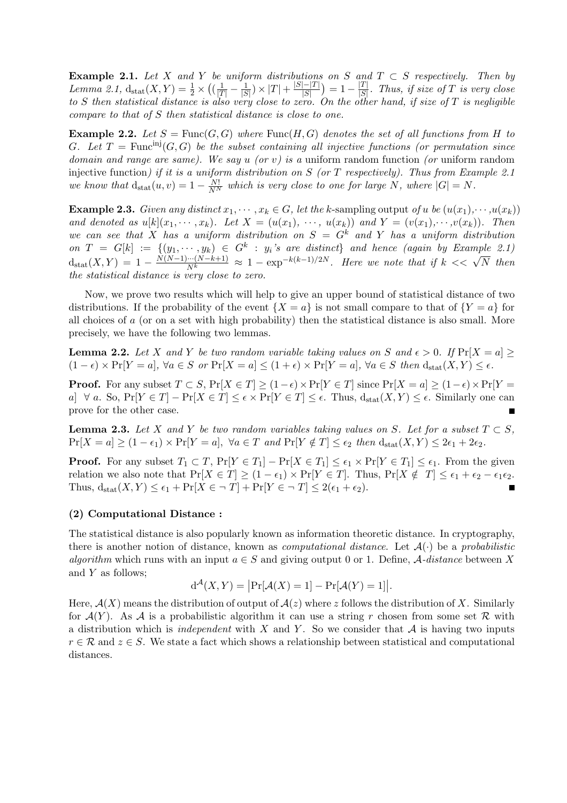Example 2.1. Let X and Y be uniform distributions on S and  $T \subset S$  respectively. Then by Lemma 2.1,  $d_{stat}(X, Y) = \frac{1}{2} \times$ ¡  $(\frac{1}{|T|} - \frac{1}{|S}$  $\frac{1}{|S|}$ )  $\times$   $|T|$  +  $\frac{|S|-|T|}{|S|}$  $|S|$ ¢  $= 1 - \frac{|T|}{|S|}$  $\frac{|I|}{|S|}$ . Thus, if size of T is very close to S then statistical distance is also very close to zero. On the other hand, if size of T is negligible compare to that of S then statistical distance is close to one.

**Example 2.2.** Let  $S = \text{Func}(G, G)$  where  $\text{Func}(H, G)$  denotes the set of all functions from H to G. Let  $T = \text{Func}^{\text{inj}}(G, G)$  be the subset containing all injective functions (or permutation since domain and range are same). We say u (or v) is a uniform random function (or uniform random injective function) if it is a uniform distribution on  $S$  (or  $T$  respectively). Thus from Example 2.1 we know that  $d_{stat}(u, v) = 1 - \frac{N!}{N^N}$  which is very close to one for large N, where  $|G| = N$ .

**Example 2.3.** Given any distinct  $x_1, \dots, x_k \in G$ , let the k-sampling output of u be  $(u(x_1), \dots, u(x_k))$ and denoted as  $u[k](x_1, \dots, x_k)$ . Let  $X = (u(x_1), \dots, u(x_k))$  and  $Y = (v(x_1), \dots, v(x_k))$ . Then we can see that X has a uniform distribution on  $S = G^k$  and Y has a uniform distribution on  $T = G[k] := \{(y_1, \dots, y_k) \in G^k : y_i$ 's are distinct} and hence (again by Example 2.1)  $d_{\text{stat}}(X,Y) = 1 - \frac{N(N-1)\cdots(N-k+1)}{N^k} \approx 1 - \exp^{-k(k-1)/2N}$ . Here we note that if  $k \ll \sqrt{N}$  then the statistical distance is very close to zero.

Now, we prove two results which will help to give an upper bound of statistical distance of two distributions. If the probability of the event  $\{X = a\}$  is not small compare to that of  $\{Y = a\}$  for all choices of a (or on a set with high probability) then the statistical distance is also small. More precisely, we have the following two lemmas.

**Lemma 2.2.** Let X and Y be two random variable taking values on S and  $\epsilon > 0$ . If  $Pr[X = a] \ge$  $(1 - \epsilon) \times \Pr[Y = a], \forall a \in S \text{ or } \Pr[X = a] \leq (1 + \epsilon) \times \Pr[Y = a], \forall a \in S \text{ then } d_{\text{stat}}(X, Y) \leq \epsilon.$ 

**Proof.** For any subset  $T \subset S$ ,  $Pr[X \in T] > (1 - \epsilon) \times Pr[Y \in T]$  since  $Pr[X = a] > (1 - \epsilon) \times Pr[Y = a]$ a]  $\forall a$ . So,  $Pr[Y \in T] - Pr[X \in T] \leq \epsilon \times Pr[Y \in T] \leq \epsilon$ . Thus,  $d_{stat}(X, Y) \leq \epsilon$ . Similarly one can prove for the other case.

**Lemma 2.3.** Let X and Y be two random variables taking values on S. Let for a subset  $T \subset S$ ,  $Pr[X = a] \ge (1 - \epsilon_1) \times Pr[Y = a], \ \forall a \in T \ and \ Pr[Y \notin T] \le \epsilon_2 \ then \ d_{stat}(X, Y) \le 2\epsilon_1 + 2\epsilon_2.$ 

**Proof.** For any subset  $T_1 \subset T$ ,  $Pr[Y \in T_1] - Pr[X \in T_1] \le \epsilon_1 \times Pr[Y \in T_1] \le \epsilon_1$ . From the given relation we also note that  $Pr[X \in T] \ge (1 - \epsilon_1) \times Pr[Y \in T]$ . Thus,  $Pr[X \notin T] \le \epsilon_1 + \epsilon_2 - \epsilon_1 \epsilon_2$ . Thus,  $d_{stat}(X, Y) \leq \epsilon_1 + \Pr[X \in \neg T] + \Pr[Y \in \neg T] \leq 2(\epsilon_1 + \epsilon_2).$  $\blacksquare$ 

#### (2) Computational Distance :

The statistical distance is also popularly known as information theoretic distance. In cryptography, there is another notion of distance, known as *computational distance*. Let  $\mathcal{A}(\cdot)$  be a *probabilistic* algorithm which runs with an input  $a \in S$  and giving output 0 or 1. Define, A-distance between X and Y as follows;  $\overline{a}$  $\overline{a}$ 

$$
d^{\mathcal{A}}(X,Y) = \big|\Pr[\mathcal{A}(X) = 1] - \Pr[\mathcal{A}(Y) = 1]\big|.
$$

Here,  $\mathcal{A}(X)$  means the distribution of output of  $\mathcal{A}(z)$  where z follows the distribution of X. Similarly for  $\mathcal{A}(Y)$ . As  $\mathcal A$  is a probabilistic algorithm it can use a string r chosen from some set R with a distribution which is *independent* with X and Y. So we consider that  $\mathcal A$  is having two inputs  $r \in \mathcal{R}$  and  $z \in S$ . We state a fact which shows a relationship between statistical and computational distances.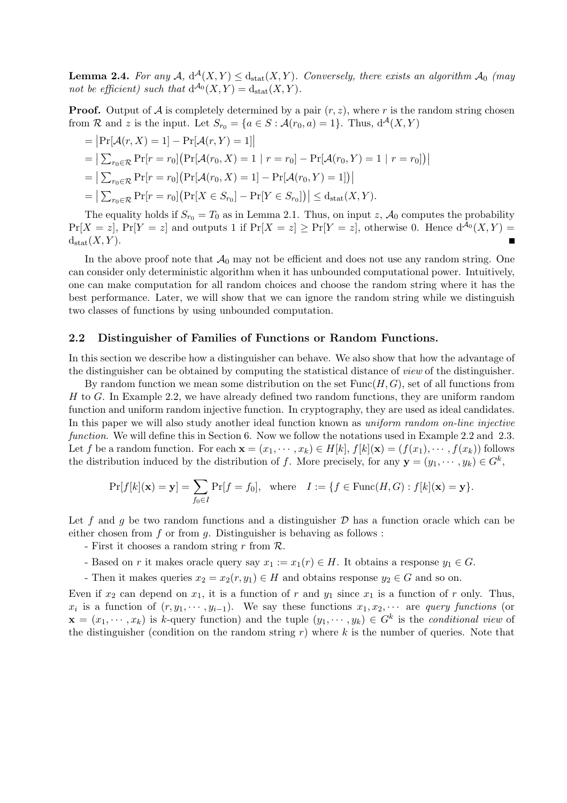**Lemma 2.4.** For any  $\mathcal{A}$ ,  $d^{\mathcal{A}}(X, Y) \leq d_{stat}(X, Y)$ . Conversely, there exists an algorithm  $\mathcal{A}_0$  (may not be efficient) such that  $d^{A_0}(X,Y) = d_{stat}(X,Y)$ .

**Proof.** Output of A is completely determined by a pair  $(r, z)$ , where r is the random string chosen from R and z is the input. Let  $S_{r_0} = \{a \in S : \mathcal{A}(r_0, a) = 1\}$ . Thus,  $d^{\mathcal{A}}(X, Y)$ 

= 
$$
|\Pr[\mathcal{A}(r, X) = 1] - \Pr[\mathcal{A}(r, Y) = 1]|
$$
  
\n=  $|\sum_{r_0 \in \mathcal{R}} \Pr[r = r_0] (\Pr[\mathcal{A}(r_0, X) = 1 | r = r_0] - \Pr[\mathcal{A}(r_0, Y) = 1 | r = r_0])|$   
\n=  $|\sum_{r_0 \in \mathcal{R}} \Pr[r = r_0] (\Pr[\mathcal{A}(r_0, X) = 1] - \Pr[\mathcal{A}(r_0, Y) = 1])|$   
\n=  $|\sum_{r_0 \in \mathcal{R}} \Pr[r = r_0] (\Pr[X \in S_{r_0}] - \Pr[Y \in S_{r_0}])| \le d_{\text{stat}}(X, Y).$ 

The equality holds if  $S_{r_0} = T_0$  as in Lemma 2.1. Thus, on input z,  $\mathcal{A}_0$  computes the probability  $Pr[X = z]$ ,  $Pr[Y = z]$  and outputs 1 if  $Pr[X = z] \geq Pr[Y = z]$ , otherwise 0. Hence  $d^{A_0}(X, Y)$  $d_{stat}(X, Y)$ .

In the above proof note that  $\mathcal{A}_0$  may not be efficient and does not use any random string. One can consider only deterministic algorithm when it has unbounded computational power. Intuitively, one can make computation for all random choices and choose the random string where it has the best performance. Later, we will show that we can ignore the random string while we distinguish two classes of functions by using unbounded computation.

#### 2.2 Distinguisher of Families of Functions or Random Functions.

In this section we describe how a distinguisher can behave. We also show that how the advantage of the distinguisher can be obtained by computing the statistical distance of view of the distinguisher.

By random function we mean some distribution on the set  $Func(H, G)$ , set of all functions from H to G. In Example 2.2, we have already defined two random functions, they are uniform random function and uniform random injective function. In cryptography, they are used as ideal candidates. In this paper we will also study another ideal function known as *uniform random on-line injective* function. We will define this in Section 6. Now we follow the notations used in Example 2.2 and 2.3. Let f be a random function. For each  $\mathbf{x} = (x_1, \dots, x_k) \in H[k], f[k](\mathbf{x}) = (f(x_1), \dots, f(x_k))$  follows the distribution induced by the distribution of f. More precisely, for any  $\mathbf{y} = (y_1, \dots, y_k) \in G^k$ ,

$$
\Pr[f[k](\mathbf{x}) = \mathbf{y}] = \sum_{f_0 \in I} \Pr[f = f_0], \text{ where } I := \{f \in \text{Func}(H, G) : f[k](\mathbf{x}) = \mathbf{y}\}.
$$

Let f and g be two random functions and a distinguisher  $\mathcal D$  has a function oracle which can be either chosen from  $f$  or from  $g$ . Distinguisher is behaving as follows:

- First it chooses a random string  $r$  from  $\mathcal{R}$ .

- Based on r it makes oracle query say  $x_1 := x_1(r) \in H$ . It obtains a response  $y_1 \in G$ .
- Then it makes queries  $x_2 = x_2(r, y_1) \in H$  and obtains response  $y_2 \in G$  and so on.

Even if  $x_2$  can depend on  $x_1$ , it is a function of r and  $y_1$  since  $x_1$  is a function of r only. Thus,  $x_i$  is a function of  $(r, y_1, \dots, y_{i-1})$ . We say these functions  $x_1, x_2, \dots$  are *query functions* (or  $\mathbf{x} = (x_1, \dots, x_k)$  is k-query function) and the tuple  $(y_1, \dots, y_k) \in G^k$  is the conditional view of the distinguisher (condition on the random string  $r$ ) where k is the number of queries. Note that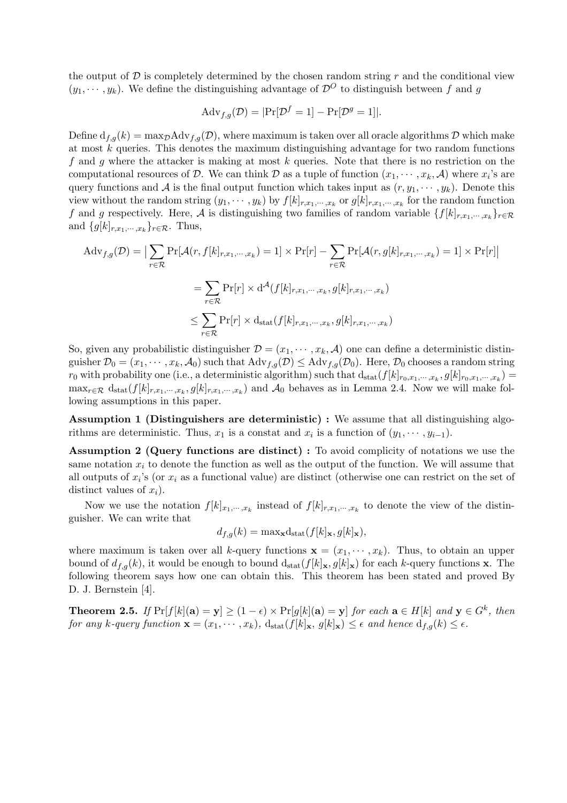the output of  $\mathcal D$  is completely determined by the chosen random string r and the conditional view  $(y_1, \dots, y_k)$ . We define the distinguishing advantage of  $\mathcal{D}^O$  to distinguish between f and g

$$
Adv_{f,g}(\mathcal{D}) = |\Pr[\mathcal{D}^f = 1] - \Pr[\mathcal{D}^g = 1]|.
$$

Define  $d_{f,g}(k) = \max_{D} \text{Adv}_{f,g}(D)$ , where maximum is taken over all oracle algorithms D which make at most  $k$  queries. This denotes the maximum distinguishing advantage for two random functions f and g where the attacker is making at most  $k$  queries. Note that there is no restriction on the computational resources of D. We can think D as a tuple of function  $(x_1, \dots, x_k, \mathcal{A})$  where  $x_i$ 's are query functions and A is the final output function which takes input as  $(r, y_1, \dots, y_k)$ . Denote this view without the random string  $(y_1, \dots, y_k)$  by  $f[k]_{r,x_1,\dots,x_k}$  or  $g[k]_{r,x_1,\dots,x_k}$  for the random function f and g respectively. Here, A is distinguishing two families of random variable  $\{f[k]_{r,x_1,\dots,x_k}\}_{r\in\mathcal{R}}$ and  $\{g[k]_{r,x_1,\dots,x_k}\}_{r\in\mathcal{R}}$ . Thus,

$$
\begin{aligned} \text{Adv}_{f,g}(\mathcal{D}) &= \big| \sum_{r \in \mathcal{R}} \Pr[\mathcal{A}(r, f[k]_{r,x_1,\cdots,x_k}) = 1] \times \Pr[r] - \sum_{r \in \mathcal{R}} \Pr[\mathcal{A}(r, g[k]_{r,x_1,\cdots,x_k}) = 1] \times \Pr[r] \big| \\ &= \sum_{r \in \mathcal{R}} \Pr[r] \times \mathrm{d}^{\mathcal{A}}(f[k]_{r,x_1,\cdots,x_k}, g[k]_{r,x_1,\cdots,x_k}) \\ &\le \sum_{r \in \mathcal{R}} \Pr[r] \times \mathrm{d}_{\text{stat}}(f[k]_{r,x_1,\cdots,x_k}, g[k]_{r,x_1,\cdots,x_k}) \end{aligned}
$$

So, given any probabilistic distinguisher  $\mathcal{D} = (x_1, \dots, x_k, \mathcal{A})$  one can define a deterministic distinguisher  $\mathcal{D}_0 = (x_1, \dots, x_k, \mathcal{A}_0)$  such that  $\text{Adv}_{f,q}(\mathcal{D}) \leq \text{Adv}_{f,q}(\mathcal{D}_0)$ . Here,  $\mathcal{D}_0$  chooses a random string  $r_0$  with probability one (i.e., a deterministic algorithm) such that  $d_{stat}(f[k]_{r_0,x_1,\dots,x_k}, g[k]_{r_0,x_1,\dots,x_k}) =$  $\max_{r \in \mathcal{R}} d_{\text{stat}}(f[k]_{r,x_1,\dots,x_k}, g[k]_{r,x_1,\dots,x_k})$  and  $\mathcal{A}_0$  behaves as in Lemma 2.4. Now we will make following assumptions in this paper.

Assumption 1 (Distinguishers are deterministic) : We assume that all distinguishing algorithms are deterministic. Thus,  $x_1$  is a constat and  $x_i$  is a function of  $(y_1, \dots, y_{i-1})$ .

Assumption 2 (Query functions are distinct) : To avoid complicity of notations we use the same notation  $x_i$  to denote the function as well as the output of the function. We will assume that all outputs of  $x_i$ 's (or  $x_i$  as a functional value) are distinct (otherwise one can restrict on the set of distinct values of  $x_i$ ).

Now we use the notation  $f[k]_{x_1,\dots,x_k}$  instead of  $f[k]_{r,x_1,\dots,x_k}$  to denote the view of the distinguisher. We can write that

$$
d_{f,g}(k) = \max_{\mathbf{x}} d_{\text{stat}}(f[k]_{\mathbf{x}}, g[k]_{\mathbf{x}}),
$$

where maximum is taken over all k-query functions  $\mathbf{x} = (x_1, \dots, x_k)$ . Thus, to obtain an upper bound of  $d_{f,g}(k)$ , it would be enough to bound  $d_{stat}(f[k]_{\mathbf{x}}, g[k]_{\mathbf{x}})$  for each k-query functions **x**. The following theorem says how one can obtain this. This theorem has been stated and proved By D. J. Bernstein [4].

**Theorem 2.5.** If  $Pr[f[k](a) = y] \ge (1 - \epsilon) \times Pr[g[k](a) = y]$  for each  $a \in H[k]$  and  $y \in G^k$ , then for any k-query function  $\mathbf{x} = (x_1, \dots, x_k)$ ,  $d_{stat}(f[k]_{\mathbf{x}}, g[k]_{\mathbf{x}}) \leq \epsilon$  and hence  $d_{f,q}(k) \leq \epsilon$ .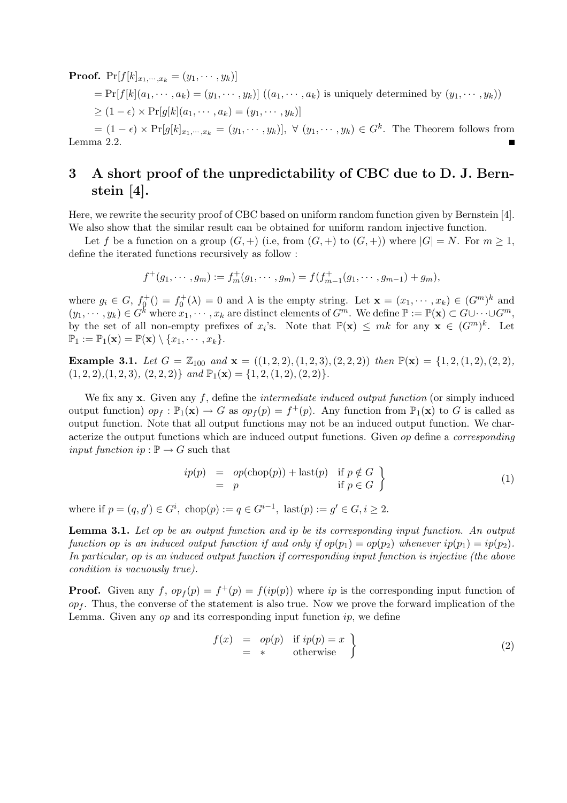**Proof.**  $Pr[f[k]_{x_1,\cdots,x_k} = (y_1,\cdots,y_k)]$  $= Pr[f[k](a_1, \dots, a_k) = (y_1, \dots, y_k)] ((a_1, \dots, a_k))$  is uniquely determined by  $(y_1, \dots, y_k))$  $\geq (1-\epsilon) \times \Pr[g[k](a_1, \cdots, a_k) = (y_1, \cdots, y_k)]$ 

 $=(1-\epsilon)\times \Pr[g[k]_{x_1,\dots,x_k}=(y_1,\dots,y_k)], \forall (y_1,\dots,y_k)\in G^k.$  The Theorem follows from Lemma 2.2.

# 3 A short proof of the unpredictability of CBC due to D. J. Bernstein [4].

Here, we rewrite the security proof of CBC based on uniform random function given by Bernstein [4]. We also show that the similar result can be obtained for uniform random injective function.

Let f be a function on a group  $(G,+)$  (i.e, from  $(G,+)$  to  $(G,+)$ ) where  $|G| = N$ . For  $m \geq 1$ , define the iterated functions recursively as follow :

$$
f^+(g_1,\dots,g_m):=f_m^+(g_1,\dots,g_m)=f(f_{m-1}^+(g_1,\dots,g_{m-1})+g_m),
$$

where  $g_i \in G$ ,  $f_0^+(x) = f_0^+(\lambda) = 0$  and  $\lambda$  is the empty string. Let  $\mathbf{x} = (x_1, \dots, x_k) \in (G^m)^k$  and  $(y_1,\dots,y_k)\in G^k$  where  $x_1,\dots,x_k$  are distinct elements of  $G^m$ . We define  $\mathbb{P}:=\mathbb{P}(\mathbf{x})\subset G\cup\dots\cup G^m$ , by the set of all non-empty prefixes of  $x_i$ 's. Note that  $\mathbb{P}(\mathbf{x}) \leq mk$  for any  $\mathbf{x} \in (G^m)^k$ . Let  $\mathbb{P}_1 := \mathbb{P}_1(\mathbf{x}) = \mathbb{P}(\mathbf{x}) \setminus \{x_1, \cdots, x_k\}.$ 

Example 3.1. Let  $G = \mathbb{Z}_{100}$  and  $\mathbf{x} = ((1, 2, 2), (1, 2, 3), (2, 2, 2))$  then  $\mathbb{P}(\mathbf{x}) = \{1, 2, (1, 2), (2, 2),$  $(1, 2, 2), (1, 2, 3), (2, 2, 2)$  and  $\mathbb{P}_1(\mathbf{x}) = \{1, 2, (1, 2), (2, 2)\}.$ 

We fix any  $x$ . Given any f, define the *intermediate induced output function* (or simply induced output function)  $op_f : \mathbb{P}_1(\mathbf{x}) \to G$  as  $op_f(p) = f^+(p)$ . Any function from  $\mathbb{P}_1(\mathbf{x})$  to G is called as output function. Note that all output functions may not be an induced output function. We characterize the output functions which are induced output functions. Given op define a corresponding input function ip :  $\mathbb{P} \to G$  such that

$$
ip(p) = op(\text{chop}(p)) + \text{last}(p) \quad \text{if } p \notin G
$$
  
= p \qquad \qquad \text{if } p \in G \quad (1)

where if  $p = (q, g') \in G^i$ ,  $chop(p) := q \in G^{i-1}$ ,  $last(p) := g' \in G, i \geq 2$ .

Lemma 3.1. Let op be an output function and ip be its corresponding input function. An output function op is an induced output function if and only if  $op(p_1) = op(p_2)$  whenever  $ip(p_1) = ip(p_2)$ . In particular, op is an induced output function if corresponding input function is injective (the above condition is vacuously true).

**Proof.** Given any f,  $op_f(p) = f^+(p) = f(ip(p))$  where ip is the corresponding input function of  $op<sub>f</sub>$ . Thus, the converse of the statement is also true. Now we prove the forward implication of the Lemma. Given any  $op$  and its corresponding input function  $ip$ , we define

$$
f(x) = op(p) \text{ if } ip(p) = x= * \text{ otherwise}
$$
 (2)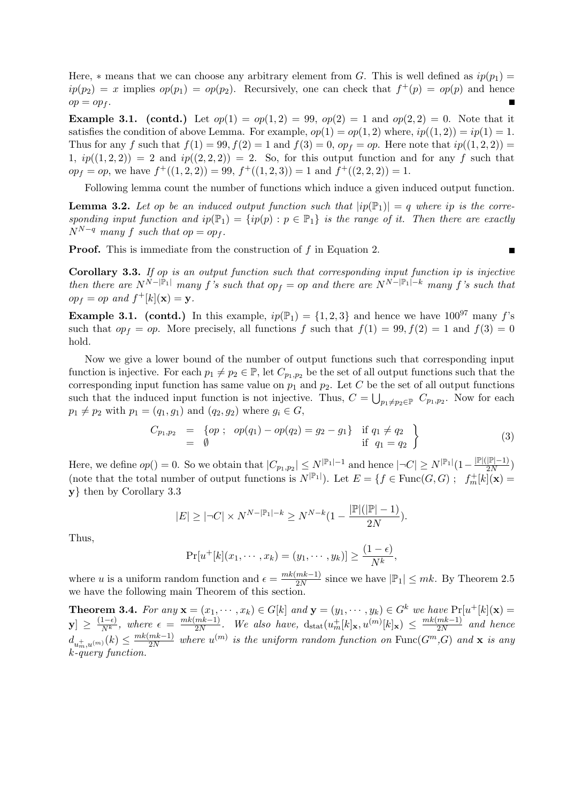Here,  $*$  means that we can choose any arbitrary element from G. This is well defined as  $ip(p_1)$  =  $ip(p_2) = x$  implies  $op(p_1) = op(p_2)$ . Recursively, one can check that  $f^+(p) = op(p)$  and hence  $op = op_f$ .

**Example 3.1.** (contd.) Let  $op(1) = op(1, 2) = 99$ ,  $op(2) = 1$  and  $op(2, 2) = 0$ . Note that it satisfies the condition of above Lemma. For example,  $op(1) = op(1, 2)$  where,  $ip((1, 2)) = ip(1) = 1$ . Thus for any f such that  $f(1) = 99, f(2) = 1$  and  $f(3) = 0, op_f = op$ . Here note that  $ip((1, 2, 2)) =$ 1,  $ip((1,2,2)) = 2$  and  $ip((2,2,2)) = 2$ . So, for this output function and for any f such that  $op_f = op$ , we have  $f^+((1,2,2)) = 99$ ,  $f^+((1,2,3)) = 1$  and  $f^+((2,2,2)) = 1$ .

Following lemma count the number of functions which induce a given induced output function.

**Lemma 3.2.** Let op be an induced output function such that  $|ip(\mathbb{P}_1)| = q$  where ip is the corresponding input function and  $ip(\mathbb{P}_1) = \{ip(p) : p \in \mathbb{P}_1\}$  is the range of it. Then there are exactly  $N^{N-q}$  many f such that op = op<sub>f</sub>.

**Proof.** This is immediate from the construction of f in Equation 2.

Corollary 3.3. If op is an output function such that corresponding input function ip is injective then there are  $N^{N-|\mathbb{P}_1|}$  many f's such that  $op_f = op$  and there are  $N^{N-|\mathbb{P}_1|-k}$  many f's such that  $op_f = op \text{ and } f^+[k](\mathbf{x}) = \mathbf{y}.$ 

**Example 3.1.** (contd.) In this example,  $ip(\mathbb{P}_1) = \{1,2,3\}$  and hence we have  $100^{97}$  many f's such that  $op_f = op$ . More precisely, all functions f such that  $f(1) = 99, f(2) = 1$  and  $f(3) = 0$ hold.

Now we give a lower bound of the number of output functions such that corresponding input function is injective. For each  $p_1 \neq p_2 \in \mathbb{P}$ , let  $C_{p_1,p_2}$  be the set of all output functions such that the corresponding input function has same value on  $p_1$  and  $p_2$ . Let C be the set of all output functions such that the induced input function is not injective. Thus,  $C = \bigcup_{p_1 \neq p_2 \in \mathbb{P}} C_{p_1,p_2}$ . Now for each  $p_1 \neq p_2$  with  $p_1 = (q_1, g_1)$  and  $(q_2, g_2)$  where  $g_i \in G$ ,

$$
C_{p_1,p_2} = \{ op \; ; \; op(q_1) - op(q_2) = g_2 - g_1 \} \quad \text{if } q_1 \neq q_2 \newline = \emptyset \quad \text{if } q_1 = q_2 \}
$$
\n
$$
(3)
$$

,

Here, we define  $op() = 0$ . So we obtain that  $|C_{p_1,p_2}| \le N^{|\mathbb{P}_1| - 1}$  and hence  $|\neg C| \ge N^{|\mathbb{P}_1|} (1 - \frac{|\mathbb{P}|(|\mathbb{P}| - 1)}{2N})$  $\frac{|{\mathbb{P}}|-1)}{2N}$ (note that the total number of output functions is  $N^{p}$ .]). Let  $E = \{f \in \text{Func}(G, G) ; f_m^+[k](\mathbf{x}) =$ y} then by Corollary 3.3

$$
|E| \geq |\neg C| \times N^{N - |\mathbb{P}_1| - k} \geq N^{N - k} \left(1 - \frac{|\mathbb{P}|(|\mathbb{P}| - 1)}{2N}\right).
$$

Thus,

$$
\Pr[u^+[k](x_1,\cdots,x_k)=(y_1,\cdots,y_k)] \ge \frac{(1-\epsilon)}{N^k}
$$

where u is a uniform random function and  $\epsilon = \frac{mk(mk-1)}{2N}$  $\frac{mk-1}{2N}$  since we have  $|\mathbb{P}_1| \leq mk$ . By Theorem 2.5 we have the following main Theorem of this section.

**Theorem 3.4.** For any  $\mathbf{x} = (x_1, \dots, x_k) \in G[k]$  and  $\mathbf{y} = (y_1, \dots, y_k) \in G^k$  we have  $\Pr[u^+[k](\mathbf{x})] =$  $|\mathbf{y}| \geq \frac{(1-\epsilon)}{Nk}$  $\frac{(1-\epsilon)}{N^k}$ , where  $\epsilon = \frac{mk(mk-1)}{2N}$  $\frac{mk-1}{2N}$ . We also have,  $d_{stat}(u_m^+[k]_{\mathbf{x}}, u^{(m)}[k]_{\mathbf{x}}) \leq \frac{mk(mk-1)}{2N}$  $\frac{mk-1)}{2N}$  and hence  $d_{u_m^+,u^{(m)}}(k) \leq \frac{mk(mk-1)}{2N}$  $\frac{mk-1}{2N}$  where  $u^{(m)}$  is the uniform random function on  $\text{Func}(G^m,G)$  and  $\bf{x}$  is any k-query function.

 $\blacksquare$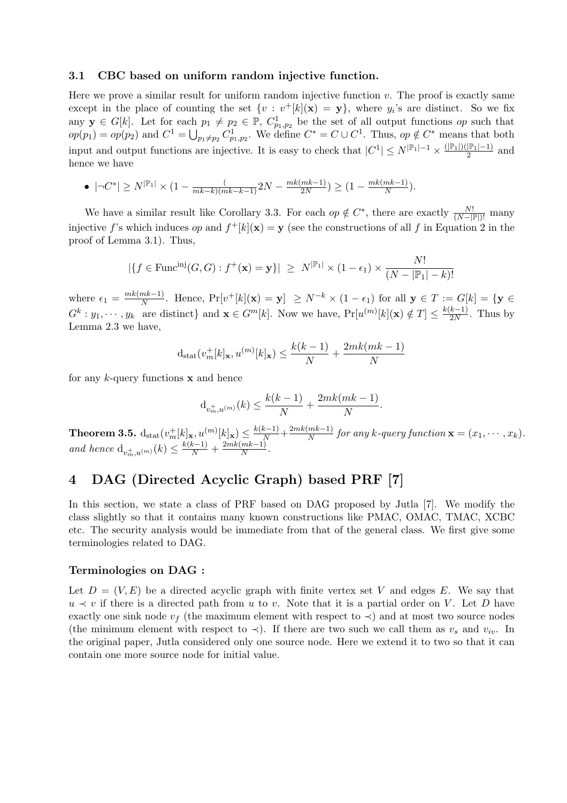#### 3.1 CBC based on uniform random injective function.

Here we prove a similar result for uniform random injective function  $v$ . The proof is exactly same except in the place of counting the set  $\{v : v^+[k](\mathbf{x}) = \mathbf{y}\}\,$ , where  $y_i$ 's are distinct. So we fix any  $y \in G[k]$ . Let for each  $p_1 \neq p_2 \in \mathbb{P}$ ,  $C_{p_1,p_2}^1$  be the set of all output functions *op* such that any  $\mathbf{y} \in G[k]$ . Let for each  $op(p_1) = op(p_2)$  and  $C^1 = \bigcup$  $p_1 \neq p_2$   $C_{p_1,p_2}^1$ . We define  $C^* = C \cup C^1$ . Thus,  $op \notin C^*$  means that both input and output functions are injective. It is easy to check that  $|C^1| \le N^{|P_1|-1} \times \frac{(|P_1|)(|P_1|-1)}{2}$  $\frac{p_{1}-1}{2}$  and hence we have

• 
$$
|\neg C^*| \ge N^{|P_1|} \times (1 - \frac{(m}{mk - k)(mk - k - 1)} 2N - \frac{mk(mk - 1)}{2N}) \ge (1 - \frac{mk(mk - 1)}{N}).
$$

We have a similar result like Corollary 3.3. For each  $op \notin C^*$ , there are exactly  $\frac{N!}{(N-|\mathbb{P}|)!}$  many injective f's which induces op and  $f^+[k](\mathbf{x}) = \mathbf{y}$  (see the constructions of all f in Equation 2 in the proof of Lemma 3.1). Thus,

$$
|\{f \in \text{Func}^{\text{inj}}(G, G) : f^+(\mathbf{x}) = \mathbf{y}\}| \ge N^{|\mathbb{P}_1|} \times (1 - \epsilon_1) \times \frac{N!}{(N - |\mathbb{P}_1| - k)!}
$$

where  $\epsilon_1 = \frac{mk(mk-1)}{N}$  $\frac{m k - 1}{N}$ . Hence,  $\Pr[v^+[k](\mathbf{x}) = \mathbf{y}] \ge N^{-k} \times (1 - \epsilon_1)$  for all  $\mathbf{y} \in T := G[k] = \{\mathbf{y} \in T\}$  $G^k: y_1, \dots, y_k$  are distinct} and  $\mathbf{x} \in G^m[k]$ . Now we have,  $Pr[u^{(m)}[k](\mathbf{x}) \notin T] \leq \frac{k(k-1)}{2N}$  $\frac{\kappa-1}{2N}$ . Thus by Lemma 2.3 we have,

$$
d_{\text{stat}}(v_m^+[k]_{\mathbf{x}}, u^{(m)}[k]_{\mathbf{x}}) \le \frac{k(k-1)}{N} + \frac{2mk(mk-1)}{N}
$$

for any  $k$ -query functions  $x$  and hence

$$
d_{v_m^+,u^{(m)}}(k) \le \frac{k(k-1)}{N} + \frac{2mk(mk-1)}{N}.
$$

Theorem 3.5.  $\mathrm{d}_{\mathrm{stat}}(v^+_m[k]_{\mathbf{x}},u^{(m)}[k]_{\mathbf{x}}) \leq \frac{k(k-1)}{N} + \frac{2mk(mk-1)}{N}$  $\frac{mk-1)}{N}$  for any k-query function  $\mathbf{x} = (x_1, \dots, x_k)$ . and hence  $d_{v_m^+, u^{(m)}}(k) \leq \frac{k(k-1)}{N} + \frac{2mk(mk-1)}{N}$  $\frac{m\kappa-1)}{N}$ .

# 4 DAG (Directed Acyclic Graph) based PRF [7]

In this section, we state a class of PRF based on DAG proposed by Jutla [7]. We modify the class slightly so that it contains many known constructions like PMAC, OMAC, TMAC, XCBC etc. The security analysis would be immediate from that of the general class. We first give some terminologies related to DAG.

#### Terminologies on DAG :

Let  $D = (V, E)$  be a directed acyclic graph with finite vertex set V and edges E. We say that  $u \prec v$  if there is a directed path from u to v. Note that it is a partial order on V. Let D have exactly one sink node  $v_f$  (the maximum element with respect to  $\prec$ ) and at most two source nodes (the minimum element with respect to  $\prec$ ). If there are two such we call them as  $v_s$  and  $v_{iv}$ . In the original paper, Jutla considered only one source node. Here we extend it to two so that it can contain one more source node for initial value.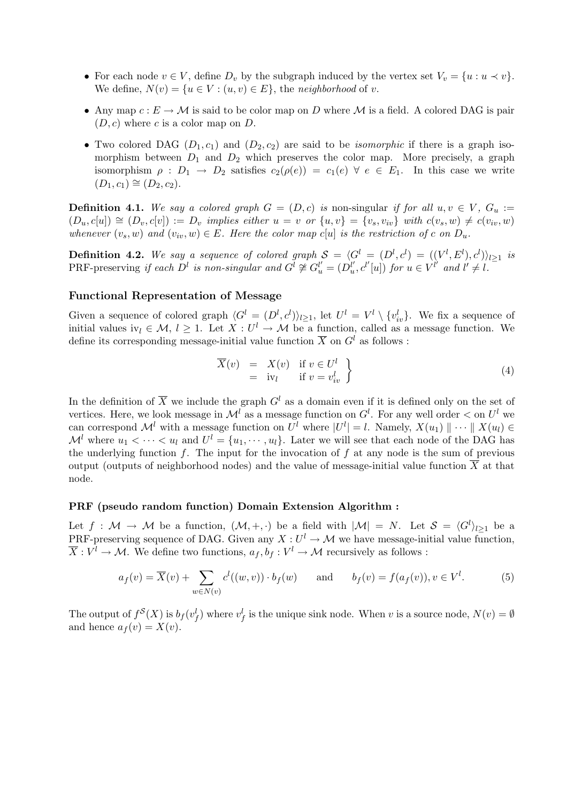- For each node  $v \in V$ , define  $D_v$  by the subgraph induced by the vertex set  $V_v = \{u : u \prec v\}$ . We define,  $N(v) = \{u \in V : (u, v) \in E\}$ , the neighborhood of v.
- Any map  $c: E \to M$  is said to be color map on D where M is a field. A colored DAG is pair  $(D, c)$  where c is a color map on D.
- Two colored DAG  $(D_1, c_1)$  and  $(D_2, c_2)$  are said to be *isomorphic* if there is a graph isomorphism between  $D_1$  and  $D_2$  which preserves the color map. More precisely, a graph isomorphism  $\rho : D_1 \to D_2$  satisfies  $c_2(\rho(e)) = c_1(e) \ \forall e \in E_1$ . In this case we write  $(D_1, c_1) \cong (D_2, c_2).$

**Definition 4.1.** We say a colored graph  $G = (D, c)$  is non-singular if for all  $u, v \in V$ ,  $G_u :=$  $(D_u, c[u]) \cong (D_v, c[v]) := D_v$  implies either  $u = v$  or  $\{u, v\} = \{v_s, v_{iv}\}$  with  $c(v_s, w) \neq c(v_{iv}, w)$ whenever  $(v_s, w)$  and  $(v_i, w) \in E$ . Here the color map c[u] is the restriction of c on  $D_u$ .

**Definition 4.2.** We say a sequence of colored graph  $S = \langle G^l = (D^l, c^l) = ((V^l, E^l), c^l) \rangle_{l \geq 1}$  is PRF-preserving if each  $D^l$  is non-singular and  $G^l \not\cong G_u^{l'} = (D_u^{l'}, c^{l'}[u])$  for  $u \in V^{l'}$  and  $l' \neq l$ .

### Functional Representation of Message

Given a sequence of colored graph  $\langle G^l = (D^l, c^l) \rangle_{l \geq 1}$ , let  $U^l = V^l \setminus \{v_{iv}^l\}$ . We fix a sequence of initial values iv<sub>l</sub>  $\in \mathcal{M}, l \geq 1$ . Let  $X: U^l \to \mathcal{M}$  be a function, called as a message function. We define its corresponding message-initial value function  $\overline{X}$  on  $G<sup>l</sup>$  as follows :

$$
\overline{X}(v) = X(v) \quad \text{if } v \in U^l \\
= \text{iv}_l \quad \text{if } v = v^l_{iv} \quad \}
$$
\n(4)

In the definition of  $\overline{X}$  we include the graph  $G<sup>l</sup>$  as a domain even if it is defined only on the set of vertices. Here, we look message in  $\mathcal{M}^l$  as a message function on  $G^l$ . For any well order  $\lt$  on  $U^l$  we can correspond  $\mathcal{M}^l$  with a message function on  $U^l$  where  $|U^l| = l$ . Namely,  $X(u_1) \parallel \cdots \parallel X(u_l) \in$  $\mathcal{M}^l$  where  $u_1 < \cdots < u_l$  and  $U^l = \{u_1, \cdots, u_l\}$ . Later we will see that each node of the DAG has the underlying function  $f$ . The input for the invocation of  $f$  at any node is the sum of previous output (outputs of neighborhood nodes) and the value of message-initial value function  $\overline{X}$  at that node.

#### PRF (pseudo random function) Domain Extension Algorithm :

Let  $f: \mathcal{M} \to \mathcal{M}$  be a function,  $(\mathcal{M}, +, \cdot)$  be a field with  $|\mathcal{M}| = N$ . Let  $\mathcal{S} = \langle G^l \rangle_{l \geq 1}$  be a PRF-preserving sequence of DAG. Given any  $X: U^l \to M$  we have message-initial value function,  $\overline{X}: V^l \to \mathcal{M}$ . We define two functions,  $a_f, b_f: V^l \to \mathcal{M}$  recursively as follows :

$$
a_f(v) = \overline{X}(v) + \sum_{w \in N(v)} c^l((w, v)) \cdot b_f(w) \quad \text{and} \quad b_f(v) = f(a_f(v)), v \in V^l.
$$
 (5)

The output of  $f^{\mathcal{S}}(X)$  is  $b_f(v_f^l)$  where  $v_f^l$  is the unique sink node. When v is a source node,  $N(v) = \emptyset$ and hence  $a_f(v) = X(v)$ .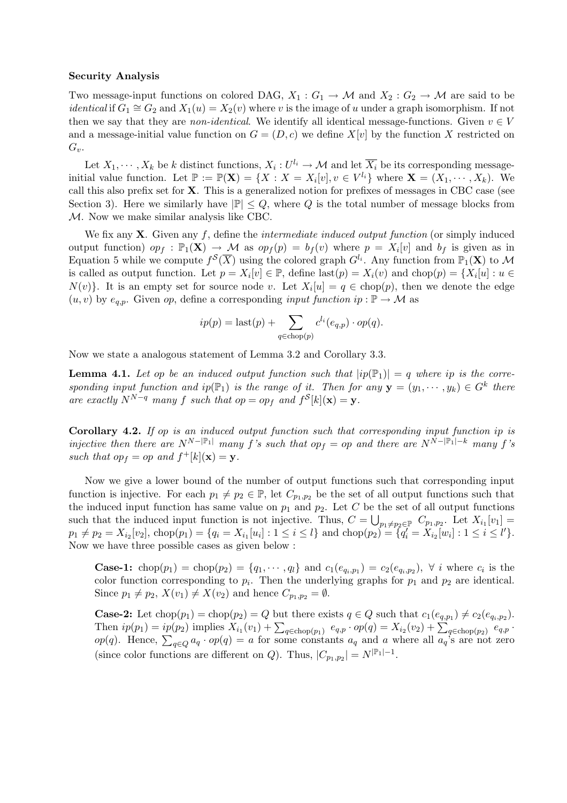#### Security Analysis

Two message-input functions on colored DAG,  $X_1: G_1 \to \mathcal{M}$  and  $X_2: G_2 \to \mathcal{M}$  are said to be *identical* if  $G_1 \cong G_2$  and  $X_1(u) = X_2(v)$  where v is the image of u under a graph isomorphism. If not then we say that they are *non-identical*. We identify all identical message-functions. Given  $v \in V$ and a message-initial value function on  $G = (D, c)$  we define  $X[v]$  by the function X restricted on  $G_v$ .

Let  $X_1, \dots, X_k$  be k distinct functions,  $X_i: U^{l_i} \to \mathcal{M}$  and let  $\overline{X_i}$  be its corresponding messageinitial value function. Let  $\mathbb{P} := \mathbb{P}(\mathbf{X}) = \{X : X = X_i[v], v \in V^{l_i}\}$  where  $\mathbf{X} = (X_1, \dots, X_k)$ . We call this also prefix set for X. This is a generalized notion for prefixes of messages in CBC case (see Section 3). Here we similarly have  $|\mathbb{P}| \leq Q$ , where Q is the total number of message blocks from M. Now we make similar analysis like CBC.

We fix any  $X$ . Given any f, define the *intermediate induced output function* (or simply induced output function)  $op_f : \mathbb{P}_1(\mathbf{X}) \to \mathcal{M}$  as  $op_f(p) = b_f(v)$  where  $p = X_i[v]$  and  $b_f$  is given as in Equation 5 while we compute  $f^{\mathcal{S}}(\overline{X})$  using the colored graph  $G^{l_i}$ . Any function from  $\mathbb{P}_1(\mathbf{X})$  to M is called as output function. Let  $p = X_i[v] \in \mathbb{P}$ , define  $last(p) = X_i(v)$  and  $chop(p) = \{X_i[u] : u \in$  $N(v)$ . It is an empty set for source node v. Let  $X_i[u] = q \in \text{chop}(p)$ , then we denote the edge  $(u, v)$  by  $e_{a,p}$ . Given op, define a corresponding *input function ip* :  $\mathbb{P} \to \mathcal{M}$  as

$$
ip(p) = \text{last}(p) + \sum_{q \in \text{chop}(p)} c^{l_i}(e_{q,p}) \cdot op(q).
$$

Now we state a analogous statement of Lemma 3.2 and Corollary 3.3.

**Lemma 4.1.** Let op be an induced output function such that  $|ip(\mathbb{P}_1)| = q$  where ip is the corresponding input function and ip $(\mathbb{P}_1)$  is the range of it. Then for any  $\mathbf{y} = (y_1, \dots, y_k) \in G^k$  there are exactly  $N^{N-q}$  many f such that  $op = op_f$  and  $f^S[k](\mathbf{x}) = \mathbf{y}$ .

Corollary 4.2. If op is an induced output function such that corresponding input function ip is injective then there are  $N^{N-|\mathbb{P}_1|}$  many f's such that op<sub>f</sub> = op and there are  $N^{N-|\mathbb{P}_1|-k}$  many f's such that  $op_f = op$  and  $f^+[k](\mathbf{x}) = \mathbf{y}$ .

Now we give a lower bound of the number of output functions such that corresponding input function is injective. For each  $p_1 \neq p_2 \in \mathbb{P}$ , let  $C_{p_1,p_2}$  be the set of all output functions such that the induced input function has same value on  $p_1$  and  $p_2$ . Let C be the set of all output functions such that the induced input function is not injective. Thus,  $C = \bigcup_{p_1 \neq p_2 \in \mathbb{P}} C_{p_1,p_2}$ . Let  $X_{i_1}[v_1] =$  $p_1 \neq p_2 = X_{i_2}[v_2], \text{chop}(p_1) = \{q_i = X_{i_1}[u_i] : 1 \leq i \leq l\} \text{ and } \text{chop}(p_2) = \{q_i' = X_{i_2}[w_i] : 1 \leq i \leq l'\}.$ Now we have three possible cases as given below :

**Case-1:** chop $(p_1)$  = chop $(p_2)$  = { $q_1, \dots, q_l$ } and  $c_1(e_{q_i,p_1}) = c_2(e_{q_i,p_2}), \forall i$  where  $c_i$  is the color function corresponding to  $p_i$ . Then the underlying graphs for  $p_1$  and  $p_2$  are identical. Since  $p_1 \neq p_2$ ,  $X(v_1) \neq X(v_2)$  and hence  $C_{p_1,p_2} = \emptyset$ .

**Case-2:** Let  $\text{chop}(p_1) = \text{chop}(p_2) = Q$  but there exists  $q \in Q$  such that  $c_1(e_{q,p_1}) \neq c_2(e_{q_i,p_2})$ . **Case-2:** Let chop( $p_1$ ) = chop( $p_2$ ) = Q but there exists  $q \in Q$  such that  $c_1(e_{q,p_1}) \neq c_2(e_{q_i,p_2})$ .<br>Then  $ip(p_1) = ip(p_2)$  implies  $X_{i_1}(v_1) + \sum_{q \in \text{chop}(p_1)} e_{q,p} \cdot op(q) = X_{i_2}(v_2) + \sum_{q \in \text{chop}(p_2)} e_{q,p} \cdot op(q)$ .<br> $op(q)$ . He (since color functions are different on Q). Thus,  $|C_{p_1,p_2}| = N^{|\mathbb{P}_1| - 1}$ .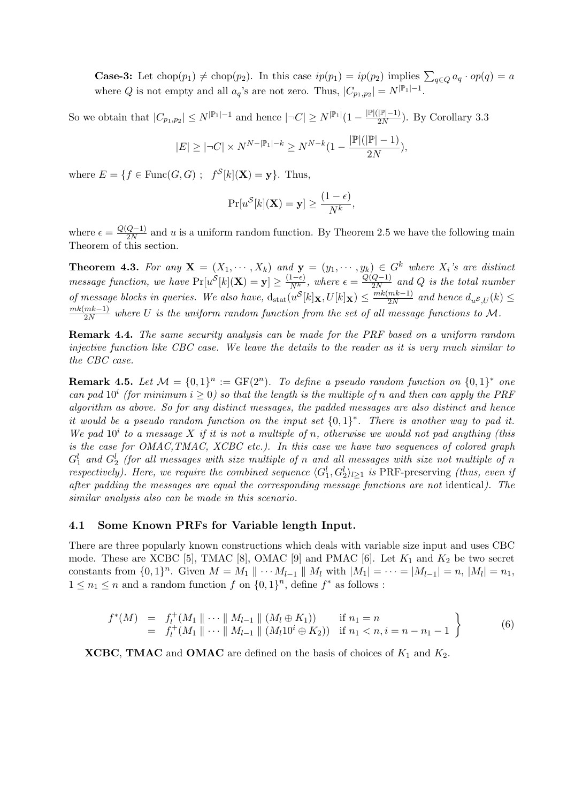**Case-3:** Let  $chop(p_1) \neq chop(p_2)$ . In this case  $ip(p_1) = ip(p_2)$  implies  $\sum_{q \in Q} a_q \cdot op(q) = a$ where Q is not empty and all  $a_q$ 's are not zero. Thus,  $|C_{p_1,p_2}| = N^{|\mathbb{P}_1| - 1}$ .

So we obtain that  $|C_{p_1,p_2}| \le N^{|\mathbb{P}_1|-1}$  and hence  $|\neg C| \ge N^{|\mathbb{P}_1|}(1 - \frac{|\mathbb{P}|(|\mathbb{P}|-1)}{2N})$  $\frac{|\mathbb{P}|-1)}{2N}$ ). By Corollary 3.3

$$
|E| \geq |\neg C| \times N^{N - |\mathbb{P}_1| - k} \geq N^{N - k} (1 - \frac{|\mathbb{P}|(|\mathbb{P}| - 1)}{2N}),
$$

where  $E = \{f \in \text{Func}(G, G) ; f^S[k](\mathbf{X}) = \mathbf{y}\}.$  Thus,

$$
\Pr[u^{\mathcal{S}}[k](\mathbf{X}) = \mathbf{y}] \ge \frac{(1 - \epsilon)}{N^k},
$$

where  $\epsilon = \frac{Q(Q-1)}{2N}$  $\frac{Q-1}{2N}$  and u is a uniform random function. By Theorem 2.5 we have the following main Theorem of this section.

**Theorem 4.3.** For any  $X = (X_1, \dots, X_k)$  and  $y = (y_1, \dots, y_k) \in G^k$  where  $X_i$ 's are distinct *message function, we have*  $Pr[u^{\mathcal{S}}[k](\mathbf{X}) = \mathbf{y}] \geq \frac{(1-\epsilon)}{Nk}$  $\frac{(1-\epsilon)}{N^k}$ , where  $\epsilon = \frac{Q(Q-1)}{2N}$  $\frac{Q-1}{2N}$  and Q is the total number of message blocks in queries. We also have,  $d_{stat}(u^{S}[k]_X, U[k]_X) \leq \frac{mk(mk-1)}{2N}$  $\frac{mk-1)}{2N}$  and hence  $d_{u}s_{,U}(k) \leq$  $mk(mk-1)$  $\frac{m\kappa-1}{2N}$  where U is the uniform random function from the set of all message functions to M.

**Remark 4.4.** The same security analysis can be made for the PRF based on a uniform random injective function like CBC case. We leave the details to the reader as it is very much similar to the CBC case.

**Remark 4.5.** Let  $\mathcal{M} = \{0,1\}^n := \text{GF}(2^n)$ . To define a pseudo random function on  $\{0,1\}^*$  one can pad  $10^i$  (for minimum  $i \geq 0$ ) so that the length is the multiple of n and then can apply the PRF algorithm as above. So for any distinct messages, the padded messages are also distinct and hence it would be a pseudo random function on the input set  $\{0,1\}^*$ . There is another way to pad it. We pad  $10^i$  to a message X if it is not a multiple of n, otherwise we would not pad anything (this is the case for OMAC,TMAC, XCBC etc.). In this case we have two sequences of colored graph  $G_1^l$  and  $G_2^l$  (for all messages with size multiple of n and all messages with size not multiple of n respectively). Here, we require the combined sequence  $\langle G_1^l, G_2^l \rangle_{l \geq 1}$  is PRF-preserving (thus, even if after padding the messages are equal the corresponding message functions are not identical). The similar analysis also can be made in this scenario.

#### 4.1 Some Known PRFs for Variable length Input.

There are three popularly known constructions which deals with variable size input and uses CBC mode. These are XCBC [5], TMAC [8], OMAC [9] and PMAC [6]. Let  $K_1$  and  $K_2$  be two secret constants from  $\{0,1\}^n$ . Given  $M = M_1 \parallel \cdots M_{l-1} \parallel M_l$  with  $|M_1| = \cdots = |M_{l-1}| = n$ ,  $|M_l| = n_1$ ,  $1 \leq n_1 \leq n$  and a random function f on  $\{0,1\}^n$ , define  $f^*$  as follows :

$$
f^*(M) = f_l^+(M_1 \parallel \cdots \parallel M_{l-1} \parallel (M_l \oplus K_1)) \text{ if } n_1 = n
$$
  
=  $f_l^+(M_1 \parallel \cdots \parallel M_{l-1} \parallel (M_l 10^i \oplus K_2)) \text{ if } n_1 < n, i = n - n_1 - 1$  (6)

**XCBC, TMAC** and **OMAC** are defined on the basis of choices of  $K_1$  and  $K_2$ .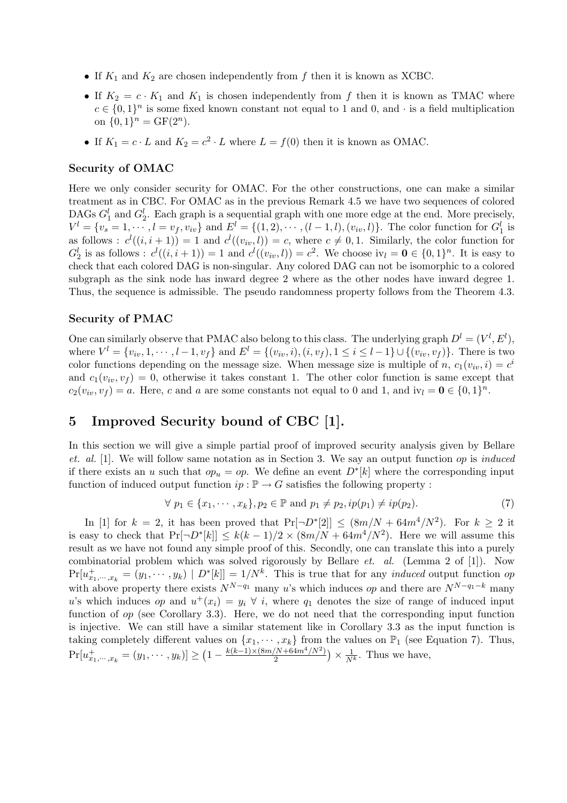- If  $K_1$  and  $K_2$  are chosen independently from f then it is known as XCBC.
- If  $K_2 = c \cdot K_1$  and  $K_1$  is chosen independently from f then it is known as TMAC where  $c \in \{0,1\}^n$  is some fixed known constant not equal to 1 and 0, and  $\cdot$  is a field multiplication on  $\{0,1\}^n = \text{GF}(2^n)$ .
- If  $K_1 = c \cdot L$  and  $K_2 = c^2 \cdot L$  where  $L = f(0)$  then it is known as OMAC.

#### Security of OMAC

Here we only consider security for OMAC. For the other constructions, one can make a similar treatment as in CBC. For OMAC as in the previous Remark 4.5 we have two sequences of colored DAGs  $G_1^l$  and  $G_2^l$ . Each graph is a sequential graph with one more edge at the end. More precisely,  $V^l = \{v_s = 1, \dots, l = v_f, v_{iv}\}\$ and  $E^l = \{(1, 2), \dots, (l - 1, l), (v_{iv}, l)\}\$ . The color function for  $G_1^l$  is as follows :  $c^l((i, i + 1)) = 1$  and  $c^l((v_{iv}, l)) = c$ , where  $c \neq 0, 1$ . Similarly, the color function for  $G_2^l$  is as follows :  $c^l((i, i+1)) = 1$  and  $c^l((v_{iv}, l)) = c^2$ . We choose  $iv_l = \mathbf{0} \in \{0, 1\}^n$ . It is easy to check that each colored DAG is non-singular. Any colored DAG can not be isomorphic to a colored subgraph as the sink node has inward degree 2 where as the other nodes have inward degree 1. Thus, the sequence is admissible. The pseudo randomness property follows from the Theorem 4.3.

## Security of PMAC

One can similarly observe that PMAC also belong to this class. The underlying graph  $D^l = (V^l, E^l)$ , where  $V^l = \{v_{iv}, 1, \dots, l-1, v_f\}$  and  $E^l = \{(v_{iv}, i), (i, v_f), 1 \le i \le l-1\} \cup \{(v_{iv}, v_f)\}$ . There is two color functions depending on the message size. When message size is multiple of n,  $c_1(v_{iv}, i) = c^i$ and  $c_1(v_{iv}, v_f) = 0$ , otherwise it takes constant 1. The other color function is same except that  $c_2(v_{iv}, v_f) = a$ . Here, c and a are some constants not equal to 0 and 1, and  $iv_l = 0 \in \{0, 1\}^n$ .

# 5 Improved Security bound of CBC [1].

In this section we will give a simple partial proof of improved security analysis given by Bellare et. al.  $[1]$ . We will follow same notation as in Section 3. We say an output function op is *induced* if there exists an u such that  $op_u = op$ . We define an event  $D^*[k]$  where the corresponding input function of induced output function  $ip : \mathbb{P} \to G$  satisfies the following property :

$$
\forall p_1 \in \{x_1, \cdots, x_k\}, p_2 \in \mathbb{P} \text{ and } p_1 \neq p_2, ip(p_1) \neq ip(p_2). \tag{7}
$$

In [1] for  $k = 2$ , it has been proved that  $Pr[\neg D^*[2]] \le (8m/N + 64m^4/N^2)$ . For  $k \ge 2$  it is easy to check that  $Pr[\neg D^*[k]] \le k(k-1)/2 \times (8m/N + 64m^4/N^2)$ . Here we will assume this result as we have not found any simple proof of this. Secondly, one can translate this into a purely combinatorial problem which was solved rigorously by Bellare et. al. (Lemma 2 of [1]). Now  $Pr[u_{x_1,\dots,x_k}^+ = (y_1,\dots,y_k) | D^*[k]] = 1/N^k$ . This is true that for any *induced* output function op with above property there exists  $N^{N-q_1}$  many u's which induces op and there are  $N^{N-q_1-k}$  many u's which induces op and  $u^+(x_i) = y_i \forall i$ , where  $q_1$  denotes the size of range of induced input function of  $op$  (see Corollary 3.3). Here, we do not need that the corresponding input function is injective. We can still have a similar statement like in Corollary 3.3 as the input function is taking completely different values on  $\{x_1, \dots, x_k\}$  from the values on  $\mathbb{P}_1$  (see Equation 7). Thus,  $Pr[u_{x_1,\dots,x_k}^+ = (y_1,\dots,y_k)] \ge$ ·''  $1-\frac{k(k-1)\times(8m/N+64m^4/N^2)}{2}$ 2  $\frac{1}{\sqrt{2}}$  $\times \frac{1}{N^k}$ . Thus we have,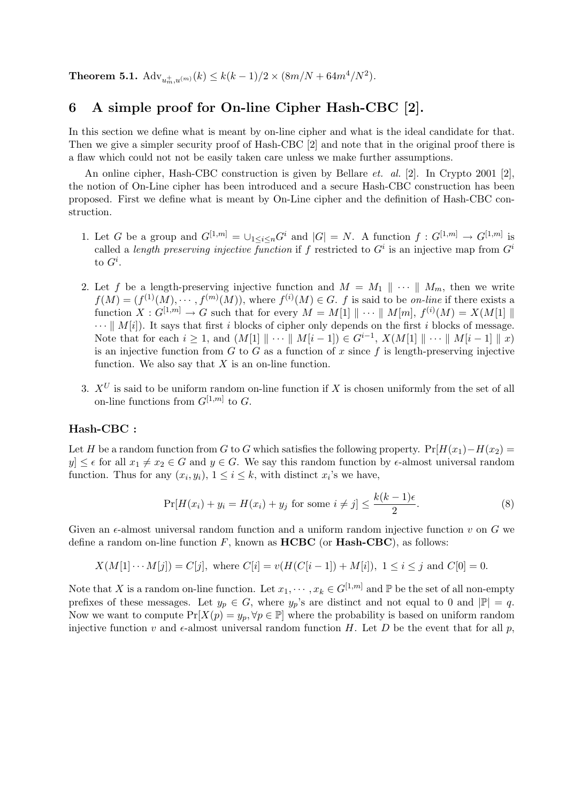**Theorem 5.1.**  $\text{Adv}_{u_m^+, u^{(m)}}(k) \leq k(k-1)/2 \times (8m/N + 64m^4/N^2)$ .

## 6 A simple proof for On-line Cipher Hash-CBC [2].

In this section we define what is meant by on-line cipher and what is the ideal candidate for that. Then we give a simpler security proof of Hash-CBC [2] and note that in the original proof there is a flaw which could not not be easily taken care unless we make further assumptions.

An online cipher, Hash-CBC construction is given by Bellare *et. al.* [2]. In Crypto 2001 [2]. the notion of On-Line cipher has been introduced and a secure Hash-CBC construction has been proposed. First we define what is meant by On-Line cipher and the definition of Hash-CBC construction.

- 1. Let G be a group and  $G^{[1,m]} = \bigcup_{1 \leq i \leq n} G^i$  and  $|G| = N$ . A function  $f: G^{[1,m]} \to G^{[1,m]}$  is called a length preserving injective function if f restricted to  $G^i$  is an injective map from  $G^i$ to  $G^i$ .
- 2. Let f be a length-preserving injective function and  $M = M_1 \parallel \cdots \parallel M_m$ , then we write  $f(M) = (f^{(1)}(M), \cdots, f^{(m)}(M))$ , where  $f^{(i)}(M) \in G$ . f is said to be on-line if there exists a function  $X: G^{[1,m]} \to G$  such that for every  $M = M[1] \parallel \cdots \parallel M[m], f^{(i)}(M) = X(M[1] \parallel$  $\cdots || M[i]$ . It says that first i blocks of cipher only depends on the first i blocks of message. Note that for each  $i \geq 1$ , and  $(M[1] \| \cdots \| M[i-1]) \in G^{i-1}$ ,  $X(M[1] \| \cdots \| M[i-1] \| x)$ is an injective function from  $G$  to  $G$  as a function of  $x$  since  $f$  is length-preserving injective function. We also say that  $X$  is an on-line function.
- 3.  $X^U$  is said to be uniform random on-line function if X is chosen uniformly from the set of all on-line functions from  $G^{[1,m]}$  to G.

### Hash-CBC :

Let H be a random function from G to G which satisfies the following property.  $Pr[H(x_1)-H(x_2)]$ y]  $\leq \epsilon$  for all  $x_1 \neq x_2 \in G$  and  $y \in G$ . We say this random function by  $\epsilon$ -almost universal random function. Thus for any  $(x_i, y_i)$ ,  $1 \leq i \leq k$ , with distinct  $x_i$ 's we have,

$$
\Pr[H(x_i) + y_i = H(x_i) + y_j \text{ for some } i \neq j] \le \frac{k(k-1)\epsilon}{2}.\tag{8}
$$

Given an  $\epsilon$ -almost universal random function and a uniform random injective function v on G we define a random on-line function  $F$ , known as **HCBC** (or **Hash-CBC**), as follows:

$$
X(M[1]\cdots M[j]) = C[j]
$$
, where  $C[i] = v(H(C[i-1]) + M[i])$ ,  $1 \le i \le j$  and  $C[0] = 0$ .

Note that X is a random on-line function. Let  $x_1, \dots, x_k \in G^{[1,m]}$  and  $\mathbb P$  be the set of all non-empty prefixes of these messages. Let  $y_p \in G$ , where  $y_p$ 's are distinct and not equal to 0 and  $|\mathbb{P}| = q$ . Now we want to compute  $Pr[X(p) = y_p, \forall p \in \mathbb{P}]$  where the probability is based on uniform random injective function v and  $\epsilon$ -almost universal random function H. Let D be the event that for all p,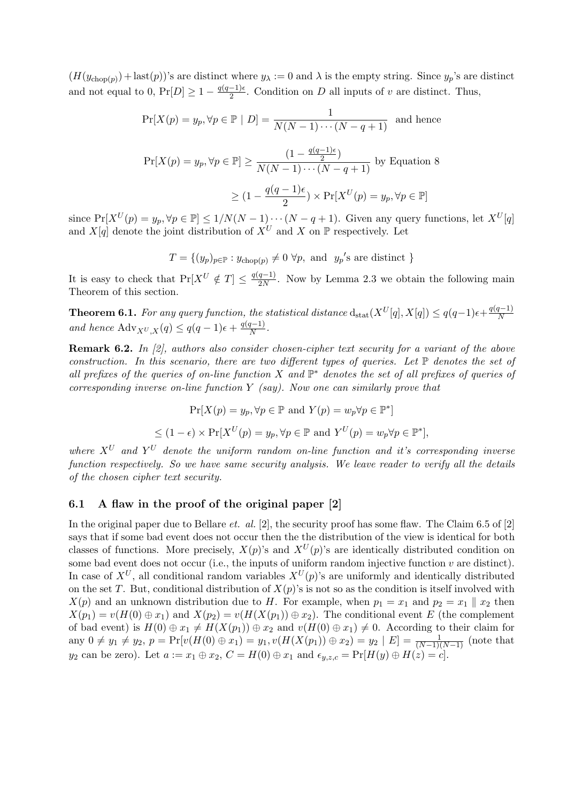$(H(y_{\text{chop}(p)}) + \text{last}(p))$ 's are distinct where  $y_{\lambda} := 0$  and  $\lambda$  is the empty string. Since  $y_p$ 's are distinct and not equal to 0,  $Pr[D] \geq 1 - \frac{q(q-1)\epsilon}{2}$  $\frac{-1}{2}$ . Condition on D all inputs of v are distinct. Thus,

$$
\Pr[X(p) = y_p, \forall p \in \mathbb{P} \mid D] = \frac{1}{N(N-1)\cdots(N-q+1)} \text{ and hence}
$$
  

$$
\Pr[X(p) = y_p, \forall p \in \mathbb{P}] \ge \frac{(1 - \frac{q(q-1)\epsilon}{2})}{N(N-1)\cdots(N-q+1)} \text{ by Equation 8}
$$
  

$$
\ge (1 - \frac{q(q-1)\epsilon}{2}) \times \Pr[X^U(p) = y_p, \forall p \in \mathbb{P}]
$$

since  $Pr[X^U(p) = y_p, \forall p \in \mathbb{P}] \le 1/N(N-1)\cdots(N-q+1)$ . Given any query functions, let  $X^U[q]$ and  $X[q]$  denote the joint distribution of  $X^U$  and X on  $\mathbb P$  respectively. Let

$$
T = \{(y_p)_{p \in \mathbb{P}} : y_{\text{chop}(p)} \neq 0 \,\forall p, \text{ and } y_p\text{'s are distinct }\}
$$

It is easy to check that  $Pr[X^U \notin T] \leq \frac{q(q-1)}{2N}$  $\frac{q-1}{2N}$ . Now by Lemma 2.3 we obtain the following main Theorem of this section.

**Theorem 6.1.** For any query function, the statistical distance  $d_{stat}(X^{U}[q], X[q]) \leq q(q-1)\epsilon + \frac{q(q-1)}{N}$ N and hence  $\text{Adv}_{X^U, X}(q) \leq q(q-1)\epsilon + \frac{q(q-1)}{N}$  $\frac{1}{N}$ .

Remark 6.2. In [2], authors also consider chosen-cipher text security for a variant of the above construction. In this scenario, there are two different types of queries. Let  $\mathbb P$  denotes the set of all prefixes of the queries of on-line function X and  $\mathbb{P}^*$  denotes the set of all prefixes of queries of corresponding inverse on-line function  $Y$  (say). Now one can similarly prove that

$$
\Pr[X(p) = y_p, \forall p \in \mathbb{P} \text{ and } Y(p) = w_p \forall p \in \mathbb{P}^*]
$$
  

$$
\leq (1 - \epsilon) \times \Pr[X^U(p) = y_p, \forall p \in \mathbb{P} \text{ and } Y^U(p) = w_p \forall p \in \mathbb{P}^*],
$$

where  $X^U$  and  $Y^U$  denote the uniform random on-line function and it's corresponding inverse function respectively. So we have same security analysis. We leave reader to verify all the details of the chosen cipher text security.

#### 6.1 A flaw in the proof of the original paper [2]

In the original paper due to Bellare *et. al.* [2], the security proof has some flaw. The Claim 6.5 of [2] says that if some bad event does not occur then the the distribution of the view is identical for both classes of functions. More precisely,  $X(p)$ 's and  $X^U(p)$ 's are identically distributed condition on some bad event does not occur (i.e., the inputs of uniform random injective function  $v$  are distinct). In case of  $X^U$ , all conditional random variables  $X^U(p)$ 's are uniformly and identically distributed on the set T. But, conditional distribution of  $X(p)$ 's is not so as the condition is itself involved with  $X(p)$  and an unknown distribution due to H. For example, when  $p_1 = x_1$  and  $p_2 = x_1 \parallel x_2$  then  $X(p_1) = v(H(0) \oplus x_1)$  and  $X(p_2) = v(H(X(p_1)) \oplus x_2)$ . The conditional event E (the complement of bad event) is  $H(0) \oplus x_1 \neq H(X(p_1)) \oplus x_2$  and  $v(H(0) \oplus x_1) \neq 0$ . According to their claim for any  $0 \neq y_1 \neq y_2$ ,  $p = Pr[v(H(0) \oplus x_1) = y_1, v(H(X(p_1)) \oplus x_2) = y_2 | E] = \frac{1}{(N-1)(N-1)}$  (note that  $y_2$  can be zero). Let  $a := x_1 \oplus x_2$ ,  $C = H(0) \oplus x_1$  and  $\epsilon_{y,z,c} = \Pr[H(y) \oplus H(z) = c]$ .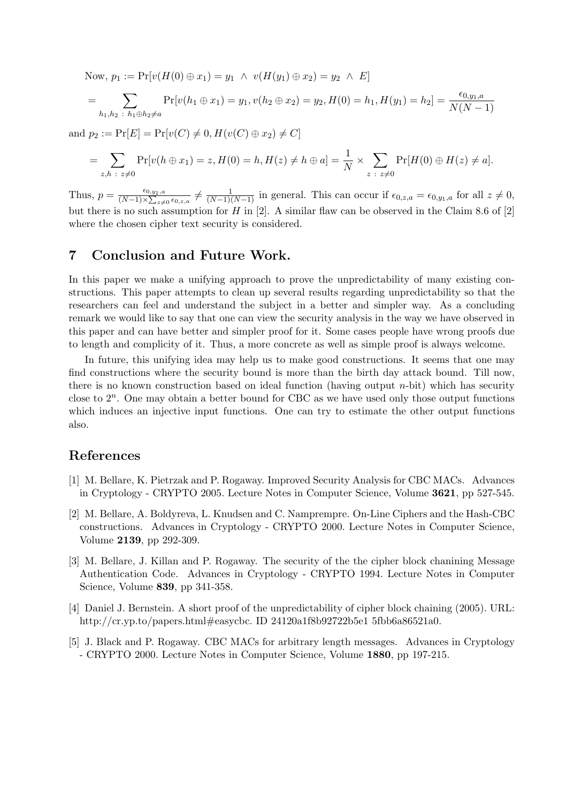Now, 
$$
p_1 := Pr[v(H(0) \oplus x_1) = y_1 \wedge v(H(y_1) \oplus x_2) = y_2 \wedge E]
$$
  
= 
$$
\sum_{h_1, h_2 \; : \; h_1 \oplus h_2 \neq a} Pr[v(h_1 \oplus x_1) = y_1, v(h_2 \oplus x_2) = y_2, H(0) = h_1, H(y_1) = h_2] = \frac{\epsilon_{0, y_1, a}}{N(N - 1)}
$$

and  $p_2 := \Pr[E] = \Pr[v(C) \neq 0, H(v(C) \oplus x_2) \neq C]$ 

$$
= \sum_{z,h \; : \; z \neq 0} \Pr[v(h \oplus x_1) = z, H(0) = h, H(z) \neq h \oplus a] = \frac{1}{N} \times \sum_{z \; : \; z \neq 0} \Pr[H(0) \oplus H(z) \neq a].
$$

Thus,  $p = \frac{\epsilon_{0,y_1,a}}{(N-1)\times\sum_{z\neq 0}\epsilon_{0,z,a}} \neq \frac{1}{(N-1)(N-1)}$  in general. This can occur if  $\epsilon_{0,z,a} = \epsilon_{0,y_1,a}$  for all  $z\neq 0$ , but there is no such assumption for H in  $[2]$ . A similar flaw can be observed in the Claim 8.6 of  $[2]$ where the chosen cipher text security is considered.

## 7 Conclusion and Future Work.

In this paper we make a unifying approach to prove the unpredictability of many existing constructions. This paper attempts to clean up several results regarding unpredictability so that the researchers can feel and understand the subject in a better and simpler way. As a concluding remark we would like to say that one can view the security analysis in the way we have observed in this paper and can have better and simpler proof for it. Some cases people have wrong proofs due to length and complicity of it. Thus, a more concrete as well as simple proof is always welcome.

In future, this unifying idea may help us to make good constructions. It seems that one may find constructions where the security bound is more than the birth day attack bound. Till now, there is no known construction based on ideal function (having output  $n$ -bit) which has security close to  $2^n$ . One may obtain a better bound for CBC as we have used only those output functions which induces an injective input functions. One can try to estimate the other output functions also.

## References

- [1] M. Bellare, K. Pietrzak and P. Rogaway. Improved Security Analysis for CBC MACs. Advances in Cryptology - CRYPTO 2005. Lecture Notes in Computer Science, Volume 3621, pp 527-545.
- [2] M. Bellare, A. Boldyreva, L. Knudsen and C. Namprempre. On-Line Ciphers and the Hash-CBC constructions. Advances in Cryptology - CRYPTO 2000. Lecture Notes in Computer Science, Volume 2139, pp 292-309.
- [3] M. Bellare, J. Killan and P. Rogaway. The security of the the cipher block chanining Message Authentication Code. Advances in Cryptology - CRYPTO 1994. Lecture Notes in Computer Science, Volume 839, pp 341-358.
- [4] Daniel J. Bernstein. A short proof of the unpredictability of cipher block chaining (2005). URL: http://cr.yp.to/papers.html#easycbc. ID 24120a1f8b92722b5e1 5fbb6a86521a0.
- [5] J. Black and P. Rogaway. CBC MACs for arbitrary length messages. Advances in Cryptology - CRYPTO 2000. Lecture Notes in Computer Science, Volume 1880, pp 197-215.